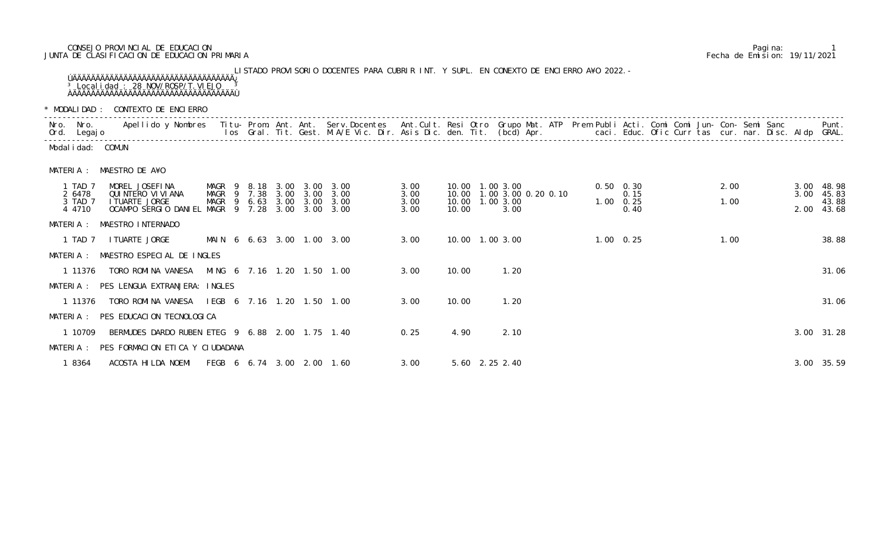## CONSEJO PROVINCIAL DE EDUCACION Pagina: 1 JUNTA DE CLASIFICACION DE EDUCACION PRIMARIA Fecha de Emision: 19/11/2021

LISTADO PROVISORIO DOCENTES PARA CUBRIR INT. Y SUPL. EN CONEXTO DE ENCIERRO A¥O 2022.- ÚÄÄÄÄÄÄÄÄÄÄÄÄÄÄÄÄÄÄÄÄÄÄÄÄÄÄÄÄÄÄÄÄÄÄÄ¿ <sup>3</sup> Localidad : 28 NOV/ROSP/T. VIEJO <sup>3</sup> ÀÄÄÄÄÄÄÄÄÄÄÄÄÄÄÄÄÄÄÄÄÄÄÄÄÄÄÄÄÄÄÄÄÄÄÄÙ

\* MODALIDAD : CONTEXTO DE ENCIERRO

|           | Nro. Nro.<br>Ord. Legajo |                                                 |                       |        |              |                   | Apellido y Nombres - Titu- Prom. Ant. Ant. Serv.Docentes - Ant.Cult. Resi Otro Grupo Mat. ATP Prem Publi Acti. Comi Comi Jun- Con- Semi Sanc - - - Punt.<br>Ios Gral. Tit. Gest. M.A/E Vic. Dir. Asis Dic. den. Tit. (bcd) Apr. - |              |       |                         |                     |  |                           |  |      |  |      |                     |
|-----------|--------------------------|-------------------------------------------------|-----------------------|--------|--------------|-------------------|-----------------------------------------------------------------------------------------------------------------------------------------------------------------------------------------------------------------------------------|--------------|-------|-------------------------|---------------------|--|---------------------------|--|------|--|------|---------------------|
|           | Modal i dad: COMUN       |                                                 |                       |        |              |                   |                                                                                                                                                                                                                                   |              |       |                         |                     |  |                           |  |      |  |      |                     |
| MATERIA : |                          | MAESTRO DE A¥O                                  |                       |        |              |                   |                                                                                                                                                                                                                                   |              |       |                         |                     |  |                           |  |      |  |      |                     |
|           | 1 TAD 7<br>2 6478        | MOREL JOSEFINA<br>QUI NTERO VI VI ANA           | MAGR 9 8.18<br>MAGR 9 | 7.38   | 3.00         | 3.00 3.00<br>3.00 | 3.00<br>3.00                                                                                                                                                                                                                      | 3.00<br>3.00 | 10.00 | 10.00  1.00  3.00       | 1.00 3.00 0.20 0.10 |  | $0.50 \quad 0.30$<br>0.15 |  | 2.00 |  | 3.00 | 3.00 48.98<br>45.83 |
|           | 3 TAD 7<br>4 4710        | I TUARTE JORGE<br>OCAMPO SERGIO DANIEL          | MAGR<br>MAGR 9 7.28   | 9 6.63 | 3.00<br>3.00 | 3.00<br>3.00      | 3.00<br>3.00                                                                                                                                                                                                                      | 3.00<br>3.00 | 10.00 | 10.00 1.00 3.00<br>3.00 |                     |  | $1.00 \t 0.25$<br>0.40    |  | 1.00 |  | 2.00 | 43.88<br>43.68      |
| MATERIA : |                          | MAESTRO INTERNADO                               |                       |        |              |                   |                                                                                                                                                                                                                                   |              |       |                         |                     |  |                           |  |      |  |      |                     |
|           | 1 TAD 7                  | I TUARTE JORGE                                  |                       |        |              |                   | MAIN 6 6.63 3.00 1.00 3.00                                                                                                                                                                                                        | 3.00         |       | 10.00 1.00 3.00         |                     |  | $1.00 \quad 0.25$         |  | 1.00 |  |      | 38.88               |
|           |                          | MATERIA : MAESTRO ESPECIAL DE INGLES            |                       |        |              |                   |                                                                                                                                                                                                                                   |              |       |                         |                     |  |                           |  |      |  |      |                     |
|           | 1 11376                  | TORO ROMINA VANESA                              |                       |        |              |                   | MING 6 7.16 1.20 1.50 1.00                                                                                                                                                                                                        | 3.00         | 10.00 | 1.20                    |                     |  |                           |  |      |  |      | 31.06               |
|           |                          | MATERIA : PES LENGUA EXTRANJERA: INGLES         |                       |        |              |                   |                                                                                                                                                                                                                                   |              |       |                         |                     |  |                           |  |      |  |      |                     |
|           | 1 11376                  | TORO ROMINA VANESA IEGB 6 7.16 1.20 1.50 1.00   |                       |        |              |                   |                                                                                                                                                                                                                                   | 3.00         | 10.00 | 1.20                    |                     |  |                           |  |      |  |      | 31.06               |
|           |                          | MATERIA : PES EDUCACION TECNOLOGICA             |                       |        |              |                   |                                                                                                                                                                                                                                   |              |       |                         |                     |  |                           |  |      |  |      |                     |
|           | 1 10709                  | BERMUDES DARDO RUBEN ETEG 9 6.88 2.00 1.75 1.40 |                       |        |              |                   |                                                                                                                                                                                                                                   | 0.25         | 4.90  | 2.10                    |                     |  |                           |  |      |  |      | 3.00 31.28          |
|           |                          | MATERIA : PES FORMACION ETICA Y CIUDADANA       |                       |        |              |                   |                                                                                                                                                                                                                                   |              |       |                         |                     |  |                           |  |      |  |      |                     |
|           | 1 8364                   | ACOSTA HILDA NOEMI                              |                       |        |              |                   | FEGB 6 6.74 3.00 2.00 1.60                                                                                                                                                                                                        | 3.00         |       | 5.60 2.25 2.40          |                     |  |                           |  |      |  |      | 3.00 35.59          |

| <b>INUDALIDAD</b> . CUNTLATU DE LINGI LINIU<br>Apellido y Nombres  Titu- Prom. Ant. Ant. Serv.Docentes  Ant.Cult. Resi Otro Grupo Mat. ATP Prem Publi Acti. Comi Comi Jun- Con- Semi Sanc         Punt.<br>Ios Gral. Tit. Gest. M.A/E Vic. Dir. Asis Dic. den. Tit. (bcd) Apr.<br>Nro. Nro. |  |      |                            |                                       |                              |                              |                              |       |  |                                                                             |                |                   |                                |  |              |              |                                       |
|---------------------------------------------------------------------------------------------------------------------------------------------------------------------------------------------------------------------------------------------------------------------------------------------|--|------|----------------------------|---------------------------------------|------------------------------|------------------------------|------------------------------|-------|--|-----------------------------------------------------------------------------|----------------|-------------------|--------------------------------|--|--------------|--------------|---------------------------------------|
| Ord. Legajo                                                                                                                                                                                                                                                                                 |  |      |                            |                                       |                              |                              |                              |       |  |                                                                             |                |                   |                                |  |              |              |                                       |
| COMUN                                                                                                                                                                                                                                                                                       |  |      |                            |                                       |                              |                              |                              |       |  |                                                                             |                |                   |                                |  |              |              |                                       |
| MATERIA : MAESTRO DE A¥O                                                                                                                                                                                                                                                                    |  |      |                            |                                       |                              |                              |                              |       |  |                                                                             |                |                   |                                |  |              |              |                                       |
| MOREL JOSEFINA<br>QUI NTERO VI VI ANA<br>I TUARTE JORGE<br>OCAMPO SERGIO DANIEL MAGR 9 7.28                                                                                                                                                                                                 |  | MAGR | MAGR 9 8.18<br>MAGR 9 7.38 | 3.00<br>3.00<br>$6.63$ $3.00$<br>3.00 | 3.00<br>3.00<br>3.00<br>3.00 | 3.00<br>3.00<br>3.00<br>3.00 | 3.00<br>3.00<br>3.00<br>3.00 | 10.00 |  | 10.00  1.00  3.00<br>10.00 1.00 3.00 0.20 0.10<br>10.00  1.00  3.00<br>3.00 |                | $0.50 \quad 0.30$ | 0.15<br>$1.00 \t 0.25$<br>0.40 |  | 2.00<br>1.00 | 3.00<br>2.00 | 3.00 48.98<br>45.83<br>43.88<br>43.68 |
| MATERIA : MAESTRO INTERNADO                                                                                                                                                                                                                                                                 |  |      |                            |                                       |                              |                              |                              |       |  |                                                                             |                |                   |                                |  |              |              |                                       |
| I TUARTE JORGE                                                                                                                                                                                                                                                                              |  |      |                            |                                       |                              | MAIN 6 6.63 3.00 1.00 3.00   | 3.00                         |       |  | 10.00 1.00 3.00                                                             |                |                   | $1.00 \quad 0.25$              |  | 1.00         |              | 38.88                                 |
| MATERIA : MAESTRO ESPECIAL DE INGLES                                                                                                                                                                                                                                                        |  |      |                            |                                       |                              |                              |                              |       |  |                                                                             |                |                   |                                |  |              |              |                                       |
| TORO ROMINA VANESA                                                                                                                                                                                                                                                                          |  |      |                            |                                       |                              | MING 6 7.16 1.20 1.50 1.00   | 3.00                         | 10.00 |  | 1.20                                                                        |                |                   |                                |  |              |              | 31.06                                 |
| MATERIA : PES LENGUA EXTRANJERA: INGLES                                                                                                                                                                                                                                                     |  |      |                            |                                       |                              |                              |                              |       |  |                                                                             |                |                   |                                |  |              |              |                                       |
| TORO ROMINA VANESA                                                                                                                                                                                                                                                                          |  |      |                            |                                       |                              | IEGB 6 7.16 1.20 1.50 1.00   | 3.00                         | 10.00 |  | 1.20                                                                        |                |                   |                                |  |              |              | 31.06                                 |
| MATERIA : PES EDUCACION TECNOLOGICA                                                                                                                                                                                                                                                         |  |      |                            |                                       |                              |                              |                              |       |  |                                                                             |                |                   |                                |  |              |              |                                       |
| BERMUDES DARDO RUBEN ETEG 9 6.88 2.00 1.75 1.40                                                                                                                                                                                                                                             |  |      |                            |                                       |                              |                              | 0.25                         | 4.90  |  | 2.10                                                                        |                |                   |                                |  |              |              | 3.00 31.28                            |
| MATERIA : PES FORMACION ETICA Y CIUDADANA                                                                                                                                                                                                                                                   |  |      |                            |                                       |                              |                              |                              |       |  |                                                                             |                |                   |                                |  |              |              |                                       |
| ACOSTA HILDA NOEMI                                                                                                                                                                                                                                                                          |  |      |                            |                                       |                              |                              | 3.00                         |       |  |                                                                             |                |                   |                                |  |              |              | 3.00 35.59                            |
|                                                                                                                                                                                                                                                                                             |  |      |                            |                                       |                              |                              | FEGB 6 6.74 3.00 2.00 1.60   |       |  |                                                                             | 5.60 2.25 2.40 |                   |                                |  |              |              |                                       |